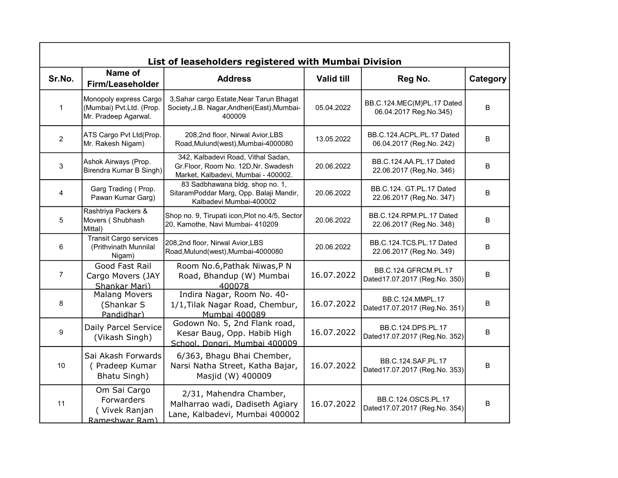|                |                                                                            | List of leaseholders registered with Mumbai Division                                                             |                   |                                                       |          |
|----------------|----------------------------------------------------------------------------|------------------------------------------------------------------------------------------------------------------|-------------------|-------------------------------------------------------|----------|
| Sr.No.         | Name of<br>Firm/Leaseholder                                                | <b>Address</b>                                                                                                   | <b>Valid till</b> | Reg No.                                               | Category |
| $\mathbf{1}$   | Monopoly express Cargo<br>(Mumbai) Pvt.Ltd. (Prop.<br>Mr. Pradeep Agarwal. | 3, Sahar cargo Estate, Near Tarun Bhagat<br>Society, J.B. Nagar, Andheri (East), Mumbai-<br>400009               | 05.04.2022        | BB.C.124.MEC(M)PL.17 Dated<br>06.04.2017 Reg.No.345)  | B        |
| 2              | ATS Cargo Pvt Ltd(Prop.<br>Mr. Rakesh Nigam)                               | 208,2nd floor, Nirwal Avior,LBS<br>Road, Mulund(west), Mumbai-4000080                                            | 13.05.2022        | BB.C.124.ACPL.PL.17 Dated<br>06.04.2017 (Reg.No. 242) | B        |
| 3              | Ashok Airways (Prop.<br>Birendra Kumar B Singh)                            | 342, Kalbadevi Road, Vithal Sadan,<br>Gr.Floor, Room No. 12D, Nr. Swadesh<br>Market, Kalbadevi, Mumbai - 400002. | 20.06.2022        | BB.C.124.AA.PL.17 Dated<br>22.06.2017 (Reg.No. 346)   | B        |
| 4              | Garg Trading (Prop.<br>Pawan Kumar Garg)                                   | 83 Sadbhawana bldg. shop no. 1,<br>SitaramPoddar Marg, Opp. Balaji Mandir,<br>Kalbadevi Mumbai-400002            | 20.06.2022        | BB.C.124. GT.PL.17 Dated<br>22.06.2017 (Reg.No. 347)  | B        |
| 5              | Rashtriya Packers &<br>Movers (Shubhash<br>Mittal)                         | Shop no. 9, Tirupati icon, Plot no.4/5, Sector<br>20, Kamothe, Navi Mumbai- 410209                               | 20.06.2022        | BB.C.124.RPM.PL.17 Dated<br>22.06.2017 (Reg.No. 348)  | B        |
| 6              | <b>Transit Cargo services</b><br>(Prithvinath Munnilal<br>Nigam)           | 208,2nd floor, Nirwal Avior,LBS<br>Road, Mulund(west), Mumbai-4000080                                            | 20.06.2022        | BB.C.124.TCS.PL.17 Dated<br>22.06.2017 (Reg.No. 349)  | B        |
| $\overline{7}$ | Good Fast Rail<br>Cargo Movers (JAY<br>Shankar Mari)                       | Room No.6, Pathak Niwas, P N<br>Road, Bhandup (W) Mumbai<br>400078                                               | 16.07.2022        | BB.C.124.GFRCM.PL.17<br>Dated17.07.2017 (Reg.No. 350) | B        |
| 8              | <b>Malang Movers</b><br>(Shankar S<br>Pandidhar)                           | Indira Nagar, Room No. 40-<br>1/1, Tilak Nagar Road, Chembur,<br>Mumbai 400089                                   | 16.07.2022        | BB.C.124.MMPL.17<br>Dated17.07.2017 (Reg.No. 351)     | B        |
| 9              | Daily Parcel Service<br>(Vikash Singh)                                     | Godown No. 5, 2nd Flank road,<br>Kesar Baug, Opp. Habib High<br>School, Donari, Mumbai 400009                    | 16.07.2022        | BB.C.124.DPS.PL.17<br>Dated17.07.2017 (Reg.No. 352)   | B        |
| 10             | Sai Akash Forwards<br>(Pradeep Kumar<br>Bhatu Singh)                       | 6/363, Bhagu Bhai Chember,<br>Narsi Natha Street, Katha Bajar,<br>Masjid (W) 400009                              | 16.07.2022        | BB.C.124.SAF.PL.17<br>Dated17.07.2017 (Reg.No. 353)   | B        |
| 11             | Om Sai Cargo<br>Forwarders<br>(Vivek Ranjan<br>Rameshwar Ram)              | 2/31, Mahendra Chamber,<br>Malharrao wadi, Dadiseth Agiary<br>Lane, Kalbadevi, Mumbai 400002                     | 16.07.2022        | BB.C.124.OSCS.PL.17<br>Dated17.07.2017 (Reg.No. 354)  | B        |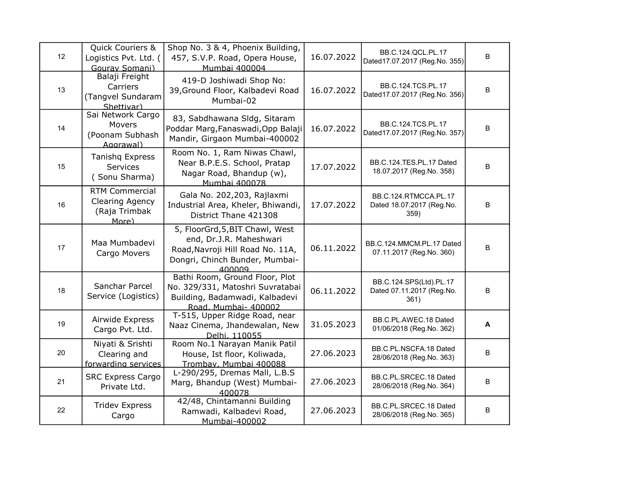| 12 | Quick Couriers &<br>Logistics Pvt. Ltd. (<br>Gourav Somani)        | Shop No. 3 & 4, Phoenix Building,<br>457, S.V.P. Road, Opera House,<br>Mumbai 400004                                                       | 16.07.2022 | BB.C.124.QCL.PL.17<br>Dated17.07.2017 (Reg.No. 355)          | $\sf B$ |
|----|--------------------------------------------------------------------|--------------------------------------------------------------------------------------------------------------------------------------------|------------|--------------------------------------------------------------|---------|
| 13 | Balaji Freight<br>Carriers<br>(Tangvel Sundaram<br>Shettivar)      | 419-D Joshiwadi Shop No:<br>39, Ground Floor, Kalbadevi Road<br>Mumbai-02                                                                  | 16.07.2022 | BB.C.124.TCS.PL.17<br>Dated17.07.2017 (Reg.No. 356)          | $\sf B$ |
| 14 | Sai Network Cargo<br>Movers<br>(Poonam Subhash<br>Aggrawal)        | 83, Sabdhawana Sldg, Sitaram<br>Poddar Marg, Fanaswadi, Opp Balaji<br>Mandir, Girgaon Mumbai-400002                                        | 16.07.2022 | BB.C.124.TCS.PL.17<br>Dated17.07.2017 (Reg.No. 357)          | $\sf B$ |
| 15 | <b>Tanishq Express</b><br>Services<br>(Sonu Sharma)                | Room No. 1, Ram Niwas Chawl,<br>Near B.P.E.S. School, Pratap<br>Nagar Road, Bhandup (w),<br>Mumbai 400078                                  | 17.07.2022 | BB.C.124.TES.PL.17 Dated<br>18.07.2017 (Reg.No. 358)         | $\sf B$ |
| 16 | <b>RTM Commercial</b><br>Clearing Agency<br>(Raja Trimbak<br>More) | Gala No. 202,203, Rajlaxmi<br>Industrial Area, Kheler, Bhiwandi,<br>District Thane 421308                                                  | 17.07.2022 | BB.C.124.RTMCCA.PL.17<br>Dated 18.07.2017 (Reg.No.<br>359)   | B       |
| 17 | Maa Mumbadevi<br>Cargo Movers                                      | 5, FloorGrd, 5, BIT Chawl, West<br>end, Dr.J.R. Maheshwari<br>Road, Navroji Hill Road No. 11A,<br>Dongri, Chinch Bunder, Mumbai-<br>400009 | 06.11.2022 | BB.C.124.MMCM.PL.17 Dated<br>07.11.2017 (Reg.No. 360)        | B       |
| 18 | Sanchar Parcel<br>Service (Logistics)                              | Bathi Room, Ground Floor, Plot<br>No. 329/331, Matoshri Suvratabai<br>Building, Badamwadi, Kalbadevi<br>Road, Mumbai- 400002               | 06.11.2022 | BB.C.124.SPS(Ltd).PL.17<br>Dated 07.11.2017 (Reg.No.<br>361) | $\sf B$ |
| 19 | Airwide Express<br>Cargo Pvt. Ltd.                                 | T-515, Upper Ridge Road, near<br>Naaz Cinema, Jhandewalan, New<br>Delhi, 110055                                                            | 31.05.2023 | BB.C.PL.AWEC.18 Dated<br>01/06/2018 (Reg.No. 362)            | A       |
| 20 | Niyati & Srishti<br>Clearing and<br>forwarding services            | Room No.1 Narayan Manik Patil<br>House, Ist floor, Koliwada,<br>Trombay, Mumbai 400088                                                     | 27.06.2023 | BB.C.PL.NSCFA.18 Dated<br>28/06/2018 (Reg.No. 363)           | B       |
| 21 | <b>SRC Express Cargo</b><br>Private Ltd.                           | L-290/295, Dremas Mall, L.B.S<br>Marg, Bhandup (West) Mumbai-<br>400078                                                                    | 27.06.2023 | BB.C.PL.SRCEC.18 Dated<br>28/06/2018 (Reg.No. 364)           | B       |
| 22 | <b>Tridev Express</b><br>Cargo                                     | 42/48, Chintamanni Building<br>Ramwadi, Kalbadevi Road,<br>Mumbai-400002                                                                   | 27.06.2023 | BB.C.PL.SRCEC.18 Dated<br>28/06/2018 (Reg.No. 365)           | $\sf B$ |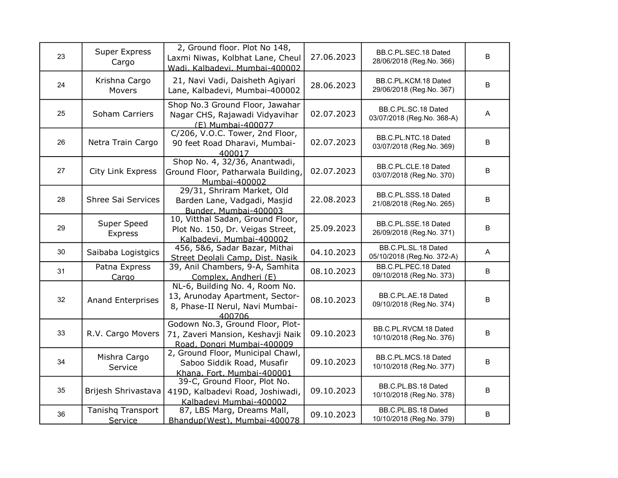| 23 | <b>Super Express</b><br>Cargo | 2, Ground floor. Plot No 148,<br>Laxmi Niwas, Kolbhat Lane, Cheul<br>Wadi, Kalbadevi, Mumbai-400002            | 27.06.2023 | BB.C.PL.SEC.18 Dated<br>28/06/2018 (Reg.No. 366)  | B                         |
|----|-------------------------------|----------------------------------------------------------------------------------------------------------------|------------|---------------------------------------------------|---------------------------|
| 24 | Krishna Cargo<br>Movers       | 21, Navi Vadi, Daisheth Agiyari<br>Lane, Kalbadevi, Mumbai-400002                                              | 28.06.2023 | BB.C.PL.KCM.18 Dated<br>29/06/2018 (Reg.No. 367)  | В                         |
| 25 | Soham Carriers                | Shop No.3 Ground Floor, Jawahar<br>Nagar CHS, Rajawadi Vidyavihar<br>(E) Mumbai-400077                         | 02.07.2023 | BB.C.PL.SC.18 Dated<br>03/07/2018 (Reg.No. 368-A) | A                         |
| 26 | Netra Train Cargo             | C/206, V.O.C. Tower, 2nd Floor,<br>90 feet Road Dharavi, Mumbai-<br>400017                                     | 02.07.2023 | BB.C.PL.NTC.18 Dated<br>03/07/2018 (Reg.No. 369)  | B                         |
| 27 | City Link Express             | Shop No. 4, 32/36, Anantwadi,<br>Ground Floor, Patharwala Building,<br>Mumbai-400002                           | 02.07.2023 | BB.C.PL.CLE.18 Dated<br>03/07/2018 (Reg.No. 370)  | B                         |
| 28 | Shree Sai Services            | 29/31, Shriram Market, Old<br>Barden Lane, Vadgadi, Masjid<br>Bunder, Mumbai-400003                            | 22.08.2023 | BB.C.PL.SSS.18 Dated<br>21/08/2018 (Reg.No. 265)  | B                         |
| 29 | Super Speed<br>Express        | 10, Vitthal Sadan, Ground Floor,<br>Plot No. 150, Dr. Veigas Street,<br>Kalbadevi, Mumbai-400002               | 25.09.2023 | BB.C.PL.SSE.18 Dated<br>26/09/2018 (Reg.No. 371)  | B                         |
| 30 | Saibaba Logistgics            | 456, 5&6, Sadar Bazar, Mithai<br>Street Deolali Camp, Dist. Nasik                                              | 04.10.2023 | BB.C.PL.SL.18 Dated<br>05/10/2018 (Reg.No. 372-A) | $\boldsymbol{\mathsf{A}}$ |
| 31 | Patna Express<br>Cargo        | 39, Anil Chambers, 9-A, Samhita<br>Complex, Andheri (E)                                                        | 08.10.2023 | BB.C.PL.PEC.18 Dated<br>09/10/2018 (Reg.No. 373)  | B                         |
| 32 | <b>Anand Enterprises</b>      | NL-6, Building No. 4, Room No.<br>13, Arunoday Apartment, Sector-<br>8, Phase-II Nerul, Navi Mumbai-<br>400706 | 08.10.2023 | BB.C.PL.AE.18 Dated<br>09/10/2018 (Reg.No. 374)   | B                         |
| 33 | R.V. Cargo Movers             | Godown No.3, Ground Floor, Plot-<br>71, Zaveri Mansion, Keshavji Naik<br>Road, Dongri Mumbai-400009            | 09.10.2023 | BB.C.PL.RVCM.18 Dated<br>10/10/2018 (Reg.No. 376) | B                         |
| 34 | Mishra Cargo<br>Service       | 2, Ground Floor, Municipal Chawl,<br>Saboo Siddik Road, Musafir<br>Khana, Fort, Mumbai-400001                  | 09.10.2023 | BB.C.PL.MCS.18 Dated<br>10/10/2018 (Reg.No. 377)  | B                         |
| 35 | Brijesh Shrivastava           | 39-C, Ground Floor, Plot No.<br>419D, Kalbadevi Road, Joshiwadi,<br>Kalbadevi Mumbai-400002                    | 09.10.2023 | BB.C.PL.BS.18 Dated<br>10/10/2018 (Reg.No. 378)   | В                         |
| 36 | Tanishq Transport<br>Service  | 87, LBS Marg, Dreams Mall,<br>Bhandup(West), Mumbai-400078                                                     | 09.10.2023 | BB.C.PL.BS.18 Dated<br>10/10/2018 (Reg.No. 379)   | В                         |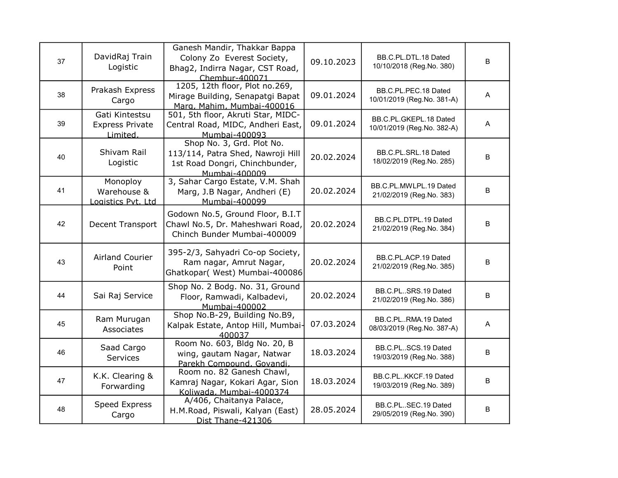| 37 | DavidRaj Train<br>Logistic                           | Ganesh Mandir, Thakkar Bappa<br>Colony Zo Everest Society,<br>Bhag2, Indirra Nagar, CST Road,<br>Chembur-400071   | 09.10.2023 | BB.C.PL.DTL.18 Dated<br>10/10/2018 (Reg.No. 380)     | B       |
|----|------------------------------------------------------|-------------------------------------------------------------------------------------------------------------------|------------|------------------------------------------------------|---------|
| 38 | Prakash Express<br>Cargo                             | 1205, 12th floor, Plot no.269,<br>Mirage Building, Senapatgi Bapat<br>Marg, Mahim, Mumbai-400016                  | 09.01.2024 | BB.C.PL.PEC.18 Dated<br>10/01/2019 (Reg.No. 381-A)   | A       |
| 39 | Gati Kintestsu<br><b>Express Private</b><br>Limited. | 501, 5th floor, Akruti Star, MIDC-<br>Central Road, MIDC, Andheri East,<br>Mumbai-400093                          | 09.01.2024 | BB.C.PL.GKEPL.18 Dated<br>10/01/2019 (Reg.No. 382-A) | A       |
| 40 | Shivam Rail<br>Logistic                              | Shop No. 3, Grd. Plot No.<br>113/114, Patra Shed, Nawroji Hill<br>1st Road Dongri, Chinchbunder,<br>Mumbai-400009 | 20.02.2024 | BB.C.PL.SRL.18 Dated<br>18/02/2019 (Reg.No. 285)     | B       |
| 41 | Monoploy<br>Warehouse &<br>ogistics Pvt. Ltd         | 3, Sahar Cargo Estate, V.M. Shah<br>Marg, J.B Nagar, Andheri (E)<br>Mumbai-400099                                 | 20.02.2024 | BB.C.PL.MWLPL.19 Dated<br>21/02/2019 (Reg.No. 383)   | B       |
| 42 | Decent Transport                                     | Godown No.5, Ground Floor, B.I.T<br>Chawl No.5, Dr. Maheshwari Road,<br>Chinch Bunder Mumbai-400009               | 20.02.2024 | BB.C.PL.DTPL.19 Dated<br>21/02/2019 (Reg.No. 384)    | $\sf B$ |
| 43 | Airland Courier<br>Point                             | 395-2/3, Sahyadri Co-op Society,<br>Ram nagar, Amrut Nagar,<br>Ghatkopar( West) Mumbai-400086                     | 20.02.2024 | BB.C.PL.ACP.19 Dated<br>21/02/2019 (Reg.No. 385)     | $\sf B$ |
| 44 | Sai Raj Service                                      | Shop No. 2 Bodg. No. 31, Ground<br>Floor, Ramwadi, Kalbadevi,<br>Mumbai-400002                                    | 20.02.2024 | BB.C.PLSRS.19 Dated<br>21/02/2019 (Reg.No. 386)      | $\sf B$ |
| 45 | Ram Murugan<br>Associates                            | Shop No.B-29, Building No.B9,<br>Kalpak Estate, Antop Hill, Mumbai<br>400037                                      | 07.03.2024 | BB.C.PLRMA.19 Dated<br>08/03/2019 (Reg.No. 387-A)    | Α       |
| 46 | Saad Cargo<br>Services                               | Room No. 603, Bldg No. 20, B<br>wing, gautam Nagar, Natwar<br>Parekh Compound, Govandi,                           | 18.03.2024 | BB.C.PLSCS.19 Dated<br>19/03/2019 (Reg.No. 388)      | B       |
| 47 | K.K. Clearing &<br>Forwarding                        | Room no. 82 Ganesh Chawl,<br>Kamraj Nagar, Kokari Agar, Sion<br>Koliwada, Mumbai-4000374                          | 18.03.2024 | BB.C.PLKKCF.19 Dated<br>19/03/2019 (Reg.No. 389)     | B       |
| 48 | Speed Express<br>Cargo                               | A/406, Chaitanya Palace,<br>H.M.Road, Piswali, Kalyan (East)<br>Dist Thane-421306                                 | 28.05.2024 | BB.C.PLSEC.19 Dated<br>29/05/2019 (Reg.No. 390)      | B       |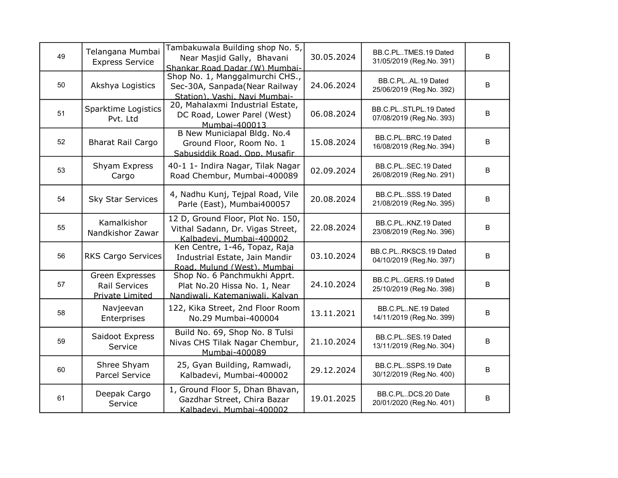| 49 | Telangana Mumbai<br><b>Express Service</b>                 | Tambakuwala Building shop No. 5,<br>Near Masjid Gally, Bhavani<br>Shankar Road Dadar (W) Mumbai-  | 30.05.2024 | BB.C.PLTMES.19 Dated<br>31/05/2019 (Reg.No. 391)   | B       |
|----|------------------------------------------------------------|---------------------------------------------------------------------------------------------------|------------|----------------------------------------------------|---------|
| 50 | Akshya Logistics                                           | Shop No. 1, Manggalmurchi CHS.,<br>Sec-30A, Sanpada(Near Railway<br>Station), Vashi, Navi Mumbai- | 24.06.2024 | BB.C.PLAL.19 Dated<br>25/06/2019 (Reg.No. 392)     | $\sf B$ |
| 51 | Sparktime Logistics<br>Pvt. Ltd                            | 20, Mahalaxmi Industrial Estate,<br>DC Road, Lower Parel (West)<br>Mumbai-400013                  | 06.08.2024 | BB.C.PLSTLPL.19 Dated<br>07/08/2019 (Reg.No. 393)  | $\sf B$ |
| 52 | <b>Bharat Rail Cargo</b>                                   | B New Municiapal Bldg. No.4<br>Ground Floor, Room No. 1<br>Sabusiddik Road, Opp. Musafir          | 15.08.2024 | BB.C.PLBRC.19 Dated<br>16/08/2019 (Reg.No. 394)    | B       |
| 53 | Shyam Express<br>Cargo                                     | 40-1 1- Indira Nagar, Tilak Nagar<br>Road Chembur, Mumbai-400089                                  | 02.09.2024 | BB.C.PLSEC.19 Dated<br>26/08/2019 (Reg.No. 291)    | B       |
| 54 | <b>Sky Star Services</b>                                   | 4, Nadhu Kunj, Tejpal Road, Vile<br>Parle (East), Mumbai400057                                    | 20.08.2024 | BB.C.PLSSS.19 Dated<br>21/08/2019 (Reg.No. 395)    | B       |
| 55 | Kamalkishor<br>Nandkishor Zawar                            | 12 D, Ground Floor, Plot No. 150,<br>Vithal Sadann, Dr. Vigas Street,<br>Kalbadevi, Mumbai-400002 | 22.08.2024 | BB.C.PL., KNZ.19 Dated<br>23/08/2019 (Reg.No. 396) | B       |
| 56 | <b>RKS Cargo Services</b>                                  | Ken Centre, 1-46, Topaz, Raja<br>Industrial Estate, Jain Mandir<br>Road, Mulund (West), Mumbai    | 03.10.2024 | BB.C.PLRKSCS.19 Dated<br>04/10/2019 (Reg.No. 397)  | $\sf B$ |
| 57 | Green Expresses<br><b>Rail Services</b><br>Private Limited | Shop No. 6 Panchmukhi Apprt.<br>Plat No.20 Hissa No. 1, Near<br>Nandiwali, Katemaniwali, Kalvan   | 24.10.2024 | BB.C.PLGERS.19 Dated<br>25/10/2019 (Reg.No. 398)   | $\sf B$ |
| 58 | Navjeevan<br>Enterprises                                   | 122, Kika Street, 2nd Floor Room<br>No.29 Mumbai-400004                                           | 13.11.2021 | BB.C.PLNE.19 Dated<br>14/11/2019 (Reg.No. 399)     | B       |
| 59 | Saidoot Express<br>Service                                 | Build No. 69, Shop No. 8 Tulsi<br>Nivas CHS Tilak Nagar Chembur,<br>Mumbai-400089                 | 21.10.2024 | BB.C.PLSES.19 Dated<br>13/11/2019 (Reg.No. 304)    | B       |
| 60 | Shree Shyam<br>Parcel Service                              | 25, Gyan Building, Ramwadi,<br>Kalbadevi, Mumbai-400002                                           | 29.12.2024 | BB.C.PLSSPS.19 Date<br>30/12/2019 (Reg.No. 400)    | B       |
| 61 | Deepak Cargo<br>Service                                    | 1, Ground Floor 5, Dhan Bhavan,<br>Gazdhar Street, Chira Bazar<br>Kalbadevi. Mumbai-400002        | 19.01.2025 | BB.C.PLDCS.20 Date<br>20/01/2020 (Reg.No. 401)     | B       |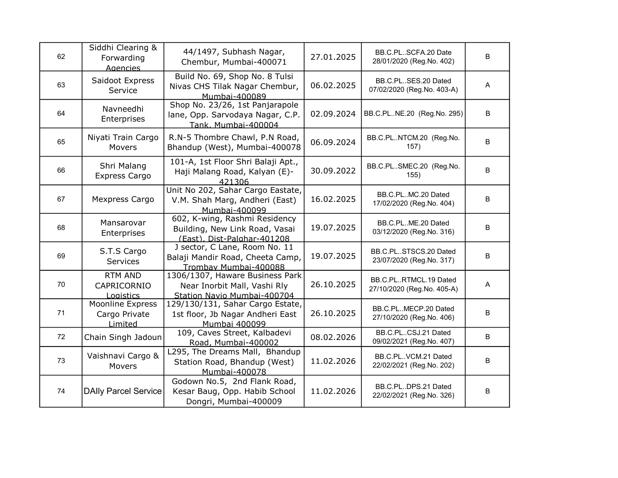| 62 | Siddhi Clearing &<br>Forwarding<br><b>Agencies</b> | 44/1497, Subhash Nagar,<br>Chembur, Mumbai-400071                                              | 27.01.2025 | BB.C.PLSCFA.20 Date<br>28/01/2020 (Reg.No. 402)     | B           |
|----|----------------------------------------------------|------------------------------------------------------------------------------------------------|------------|-----------------------------------------------------|-------------|
| 63 | Saidoot Express<br>Service                         | Build No. 69, Shop No. 8 Tulsi<br>Nivas CHS Tilak Nagar Chembur,<br>Mumbai-400089              | 06.02.2025 | BB.C.PLSES.20 Dated<br>07/02/2020 (Reg.No. 403-A)   | A           |
| 64 | Navneedhi<br>Enterprises                           | Shop No. 23/26, 1st Panjarapole<br>lane, Opp. Sarvodaya Nagar, C.P.<br>Tank, Mumbai-400004     | 02.09.2024 | BB.C.PLNE.20 (Reg.No. 295)                          | $\mathsf B$ |
| 65 | Niyati Train Cargo<br>Movers                       | R.N-5 Thombre Chawl, P.N Road,<br>Bhandup (West), Mumbai-400078                                | 06.09.2024 | BB.C.PLNTCM.20 (Reg.No.<br>157)                     | B           |
| 66 | Shri Malang<br>Express Cargo                       | 101-A, 1st Floor Shri Balaji Apt.,<br>Haji Malang Road, Kalyan (E)-<br>421306                  | 30.09.2022 | BB.C.PLSMEC.20 (Reg.No.<br>155)                     | B           |
| 67 | Mexpress Cargo                                     | Unit No 202, Sahar Cargo Eastate,<br>V.M. Shah Marg, Andheri (East)<br>Mumbai-400099           | 16.02.2025 | BB.C.PLMC.20 Dated<br>17/02/2020 (Reg.No. 404)      | B           |
| 68 | Mansarovar<br>Enterprises                          | 602, K-wing, Rashmi Residency<br>Building, New Link Road, Vasai<br>(East). Dist-Palghar-401208 | 19.07.2025 | BB.C.PLME.20 Dated<br>03/12/2020 (Reg.No. 316)      | B           |
| 69 | S.T.S Cargo<br>Services                            | J sector, C Lane, Room No. 11<br>Balaji Mandir Road, Cheeta Camp,<br>Trombav Mumbai-400088     | 19.07.2025 | BB.C.PLSTSCS.20 Dated<br>23/07/2020 (Reg.No. 317)   | B           |
| 70 | <b>RTM AND</b><br>CAPRICORNIO<br>Logistics         | 1306/1307, Haware Business Park<br>Near Inorbit Mall, Vashi Rly<br>Station Navio Mumbai-400704 | 26.10.2025 | BB.C.PLRTMCL.19 Dated<br>27/10/2020 (Reg.No. 405-A) | A           |
| 71 | Moonline Express<br>Cargo Private<br>Limited       | 129/130/131, Sahar Cargo Estate,<br>1st floor, Jb Nagar Andheri East<br>Mumbai 400099          | 26.10.2025 | BB.C.PLMECP.20 Dated<br>27/10/2020 (Reg.No. 406)    | B           |
| 72 | Chain Singh Jadoun                                 | 109, Caves Street, Kalbadevi<br>Road, Mumbai-400002                                            | 08.02.2026 | BB.C.PLCSJ.21 Dated<br>09/02/2021 (Reg.No. 407)     | В           |
| 73 | Vaishnavi Cargo &<br>Movers                        | L295, The Dreams Mall, Bhandup<br>Station Road, Bhandup (West)<br>Mumbai-400078                | 11.02.2026 | BB.C.PLVCM.21 Dated<br>22/02/2021 (Reg.No. 202)     | B           |
| 74 | <b>DAIly Parcel Service</b>                        | Godown No.5, 2nd Flank Road,<br>Kesar Baug, Opp. Habib School<br>Dongri, Mumbai-400009         | 11.02.2026 | BB.C.PLDPS.21 Dated<br>22/02/2021 (Reg.No. 326)     | B           |